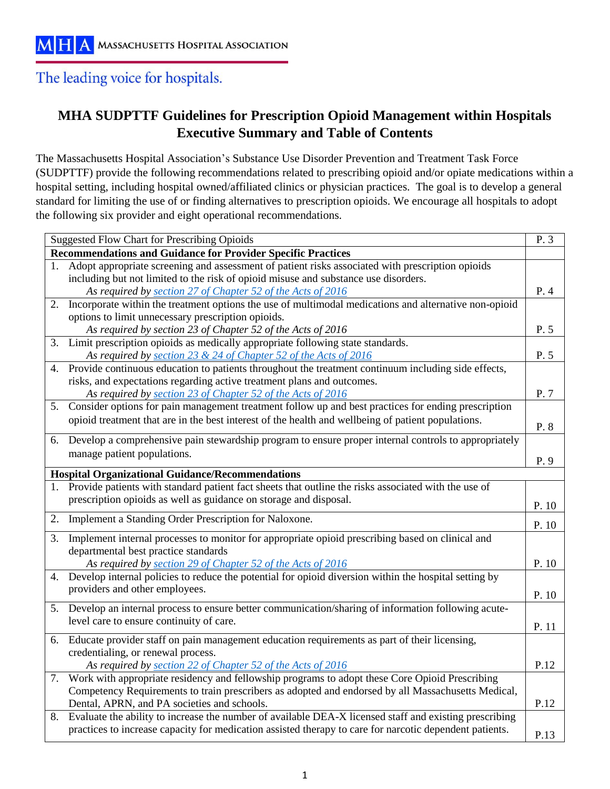# The leading voice for hospitals.

# **MHA SUDPTTF Guidelines for Prescription Opioid Management within Hospitals Executive Summary and Table of Contents**

The Massachusetts Hospital Association's Substance Use Disorder Prevention and Treatment Task Force (SUDPTTF) provide the following recommendations related to prescribing opioid and/or opiate medications within a hospital setting, including hospital owned/affiliated clinics or physician practices. The goal is to develop a general standard for limiting the use of or finding alternatives to prescription opioids. We encourage all hospitals to adopt the following six provider and eight operational recommendations.

| <b>Suggested Flow Chart for Prescribing Opioids</b>                 |                                                                                                         |       |  |  |
|---------------------------------------------------------------------|---------------------------------------------------------------------------------------------------------|-------|--|--|
| <b>Recommendations and Guidance for Provider Specific Practices</b> |                                                                                                         |       |  |  |
| 1.                                                                  | Adopt appropriate screening and assessment of patient risks associated with prescription opioids        |       |  |  |
|                                                                     | including but not limited to the risk of opioid misuse and substance use disorders.                     |       |  |  |
|                                                                     | As required by section 27 of Chapter 52 of the Acts of 2016                                             | P.4   |  |  |
| 2.                                                                  | Incorporate within the treatment options the use of multimodal medications and alternative non-opioid   |       |  |  |
|                                                                     | options to limit unnecessary prescription opioids.                                                      |       |  |  |
|                                                                     | As required by section 23 of Chapter 52 of the Acts of 2016                                             | P. 5  |  |  |
| 3.                                                                  | Limit prescription opioids as medically appropriate following state standards.                          |       |  |  |
|                                                                     | As required by section 23 & 24 of Chapter 52 of the Acts of 2016                                        | P. 5  |  |  |
| 4.                                                                  | Provide continuous education to patients throughout the treatment continuum including side effects,     |       |  |  |
|                                                                     | risks, and expectations regarding active treatment plans and outcomes.                                  |       |  |  |
|                                                                     | As required by section 23 of Chapter 52 of the Acts of 2016                                             | P. 7  |  |  |
| 5.                                                                  | Consider options for pain management treatment follow up and best practices for ending prescription     |       |  |  |
|                                                                     | opioid treatment that are in the best interest of the health and wellbeing of patient populations.      | P. 8  |  |  |
|                                                                     | 6. Develop a comprehensive pain stewardship program to ensure proper internal controls to appropriately |       |  |  |
|                                                                     | manage patient populations.                                                                             |       |  |  |
|                                                                     |                                                                                                         | P. 9  |  |  |
|                                                                     | <b>Hospital Organizational Guidance/Recommendations</b>                                                 |       |  |  |
| 1.                                                                  | Provide patients with standard patient fact sheets that outline the risks associated with the use of    |       |  |  |
|                                                                     | prescription opioids as well as guidance on storage and disposal.                                       | P. 10 |  |  |
| 2.                                                                  | Implement a Standing Order Prescription for Naloxone.                                                   | P. 10 |  |  |
| 3.                                                                  | Implement internal processes to monitor for appropriate opioid prescribing based on clinical and        |       |  |  |
|                                                                     | departmental best practice standards                                                                    |       |  |  |
|                                                                     | As required by section 29 of Chapter 52 of the Acts of 2016                                             | P. 10 |  |  |
| 4.                                                                  | Develop internal policies to reduce the potential for opioid diversion within the hospital setting by   |       |  |  |
|                                                                     | providers and other employees.                                                                          | P. 10 |  |  |
| 5.                                                                  | Develop an internal process to ensure better communication/sharing of information following acute-      |       |  |  |
|                                                                     | level care to ensure continuity of care.                                                                |       |  |  |
|                                                                     |                                                                                                         | P. 11 |  |  |
|                                                                     | 6. Educate provider staff on pain management education requirements as part of their licensing,         |       |  |  |
|                                                                     | credentialing, or renewal process.                                                                      |       |  |  |
|                                                                     | As required by section 22 of Chapter 52 of the Acts of 2016                                             | P.12  |  |  |
|                                                                     | 7. Work with appropriate residency and fellowship programs to adopt these Core Opioid Prescribing       |       |  |  |
|                                                                     | Competency Requirements to train prescribers as adopted and endorsed by all Massachusetts Medical,      |       |  |  |
|                                                                     | Dental, APRN, and PA societies and schools.                                                             | P.12  |  |  |
| 8.                                                                  | Evaluate the ability to increase the number of available DEA-X licensed staff and existing prescribing  |       |  |  |
|                                                                     | practices to increase capacity for medication assisted therapy to care for narcotic dependent patients. | P.13  |  |  |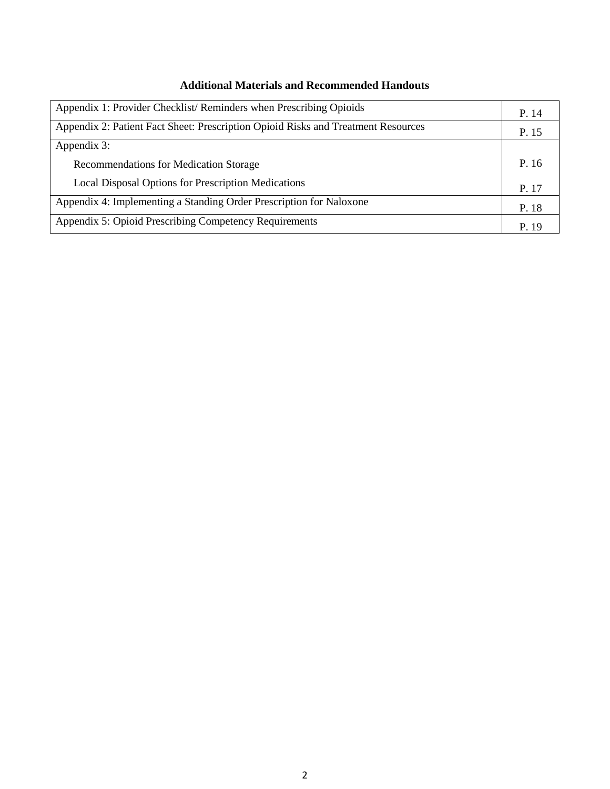| <b>Additional Materials and Recommended Handouts</b> |  |  |
|------------------------------------------------------|--|--|
|------------------------------------------------------|--|--|

| Appendix 1: Provider Checklist/Reminders when Prescribing Opioids                 |       |
|-----------------------------------------------------------------------------------|-------|
| Appendix 2: Patient Fact Sheet: Prescription Opioid Risks and Treatment Resources |       |
| Appendix 3:                                                                       |       |
| Recommendations for Medication Storage                                            | P. 16 |
| <b>Local Disposal Options for Prescription Medications</b>                        | P. 17 |
| Appendix 4: Implementing a Standing Order Prescription for Naloxone               |       |
| Appendix 5: Opioid Prescribing Competency Requirements                            |       |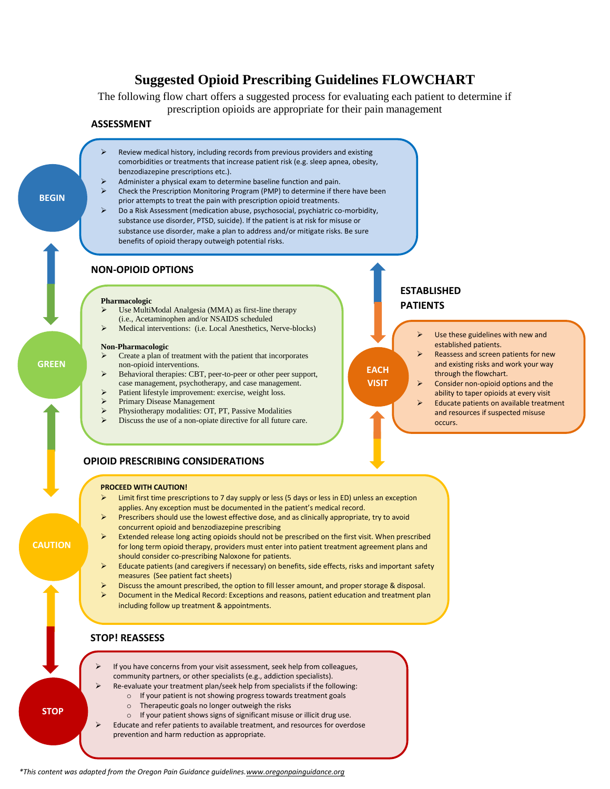# **Suggested Opioid Prescribing Guidelines FLOWCHART**

The following flow chart offers a suggested process for evaluating each patient to determine if prescription opioids are appropriate for their pain management

#### **ASSESSMENT**



prior attempts to treat the pain with prescription opioid treatments.  $\triangleright$  Do a Risk Assessment (medication abuse, psychosocial, psychiatric co-morbidity, substance use disorder, PTSD, suicide). If the patient is at risk for misuse or substance use disorder, make a plan to address and/or mitigate risks. Be sure benefits of opioid therapy outweigh potential risks.

#### **NON-OPIOID OPTIONS**

#### **Pharmacologic**

- Use MultiModal Analgesia (MMA) as first-line therapy (i.e., Acetaminophen and/or NSAIDS scheduled
- Medical interventions: (i.e. Local Anesthetics, Nerve-blocks)

#### **Non-Pharmacologic** Create a plan of treatment with the patient that incorporates

**GREEN**

**BEGIN**

**STOP! STOP**

**CAUTION**

- non-opioid interventions. Behavioral therapies: CBT, peer-to-peer or other peer support, case management, psychotherapy, and case management.
- Patient lifestyle improvement: exercise, weight loss.
- Primary Disease Management
- Physiotherapy modalities: OT, PT, Passive Modalities
- Discuss the use of a non-opiate directive for all future care.

# **ESTABLISHED PATIENTS**

**EACH VISIT**

- Use these guidelines with new and established patients.
- Reassess and screen patients for new and existing risks and work your way through the flowchart.
- Consider non-opioid options and the ability to taper opioids at every visit
- Educate patients on available treatment and resources if suspected misuse occurs.

#### **OPIOID PRESCRIBING CONSIDERATIONS**

#### **PROCEED WITH CAUTION!**

- $\triangleright$  Limit first time prescriptions to 7 day supply or less (5 days or less in ED) unless an exception applies. Any exception must be documented in the patient's medical record.
- **Prescribers should use the lowest effective dose, and as clinically appropriate, try to avoid** concurrent opioid and benzodiazepine prescribing
- Extended release long acting opioids should not be prescribed on the first visit. When prescribed for long term opioid therapy, providers must enter into patient treatment agreement plans and should consider co-prescribing Naloxone for patients.
- Educate patients (and caregivers if necessary) on benefits, side effects, risks and important safety measures (See patient fact sheets)
- Discuss the amount prescribed, the option to fill lesser amount, and proper storage & disposal. Document in the Medical Record: Exceptions and reasons, patient education and treatment plan

#### including follow up treatment & appointments.

#### **STOP! REASSESS**

- If you have concerns from your visit assessment, seek help from colleagues, community partners, or other specialists (e.g., addiction specialists).
	- Re-evaluate your treatment plan/seek help from specialists if the following:
		- o If your patient is not showing progress towards treatment goals
		- o Therapeutic goals no longer outweigh the risks
		- o If your patient shows signs of significant misuse or illicit drug use.
- Educate and refer patients to available treatment, and resources for overdose prevention and harm reduction as appropriate.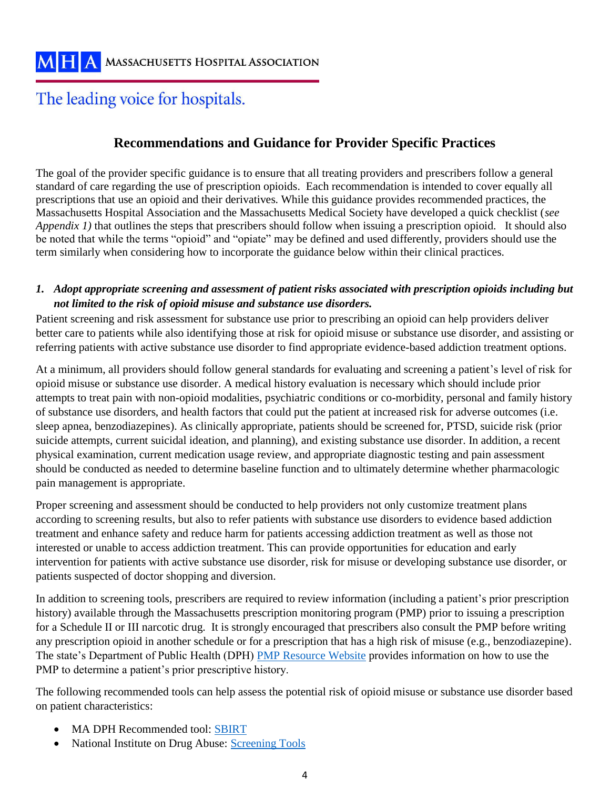# The leading voice for hospitals.

# **Recommendations and Guidance for Provider Specific Practices**

The goal of the provider specific guidance is to ensure that all treating providers and prescribers follow a general standard of care regarding the use of prescription opioids. Each recommendation is intended to cover equally all prescriptions that use an opioid and their derivatives. While this guidance provides recommended practices, the Massachusetts Hospital Association and the Massachusetts Medical Society have developed a quick checklist (*see Appendix 1*) that outlines the steps that prescribers should follow when issuing a prescription opioid. It should also be noted that while the terms "opioid" and "opiate" may be defined and used differently, providers should use the term similarly when considering how to incorporate the guidance below within their clinical practices.

### *1. Adopt appropriate screening and assessment of patient risks associated with prescription opioids including but not limited to the risk of opioid misuse and substance use disorders.*

Patient screening and risk assessment for substance use prior to prescribing an opioid can help providers deliver better care to patients while also identifying those at risk for opioid misuse or substance use disorder, and assisting or referring patients with active substance use disorder to find appropriate evidence-based addiction treatment options.

At a minimum, all providers should follow general standards for evaluating and screening a patient's level of risk for opioid misuse or substance use disorder. A medical history evaluation is necessary which should include prior attempts to treat pain with non-opioid modalities, psychiatric conditions or co-morbidity, personal and family history of substance use disorders, and health factors that could put the patient at increased risk for adverse outcomes (i.e. sleep apnea, benzodiazepines). As clinically appropriate, patients should be screened for, PTSD, suicide risk (prior suicide attempts, current suicidal ideation, and planning), and existing substance use disorder. In addition, a recent physical examination, current medication usage review, and appropriate diagnostic testing and pain assessment should be conducted as needed to determine baseline function and to ultimately determine whether pharmacologic pain management is appropriate.

Proper screening and assessment should be conducted to help providers not only customize treatment plans according to screening results, but also to refer patients with substance use disorders to evidence based addiction treatment and enhance safety and reduce harm for patients accessing addiction treatment as well as those not interested or unable to access addiction treatment. This can provide opportunities for education and early intervention for patients with active substance use disorder, risk for misuse or developing substance use disorder, or patients suspected of doctor shopping and diversion.

In addition to screening tools, prescribers are required to review information (including a patient's prior prescription history) available through the Massachusetts prescription monitoring program (PMP) prior to issuing a prescription for a Schedule II or III narcotic drug. It is strongly encouraged that prescribers also consult the PMP before writing any prescription opioid in another schedule or for a prescription that has a high risk of misuse (e.g., benzodiazepine). The state's Department of Public Health (DPH) [PMP Resource Website](http://www.mass.gov/eohhs/docs/dph/quality/drugcontrol/prescriber-guide-interpreting-pmp-data.pdf) provides information on how to use the PMP to determine a patient's prior prescriptive history.

The following recommended tools can help assess the potential risk of opioid misuse or substance use disorder based on patient characteristics:

- MA DPH Recommended tool: [SBIRT](http://www.mass.gov/eohhs/gov/departments/dph/programs/substance-abuse/prevention/screening-brief-intervention-and-referral-to.html)
- National Institute on Drug Abuse: Screening Tools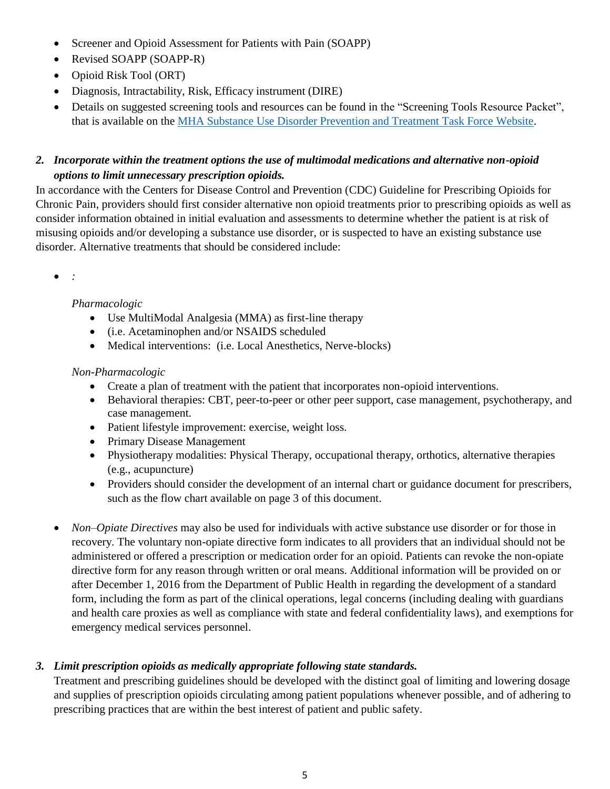- Screener and Opioid Assessment for Patients with Pain (SOAPP)
- Revised SOAPP (SOAPP-R)
- Opioid Risk Tool (ORT)
- Diagnosis, Intractability, Risk, Efficacy instrument (DIRE)
- Details on suggested screening tools and resources can be found in the "Screening Tools Resource Packet", that is available on the [MHA Substance Use Disorder Prevention and Treatment Task Force Website.](http://www.mhalink.org/Content/NavigationMenu/Newsroom/SubstanceAbuse/default.htm)

# *2. Incorporate within the treatment options the use of multimodal medications and alternative non-opioid options to limit unnecessary prescription opioids.*

In accordance with the Centers for Disease Control and Prevention (CDC) Guideline for Prescribing Opioids for Chronic Pain, providers should first consider alternative non opioid treatments prior to prescribing opioids as well as consider information obtained in initial evaluation and assessments to determine whether the patient is at risk of misusing opioids and/or developing a substance use disorder, or is suspected to have an existing substance use disorder. Alternative treatments that should be considered include:

*:*

### *Pharmacologic*

- Use MultiModal Analgesia (MMA) as first-line therapy
- (i.e. Acetaminophen and/or NSAIDS scheduled
- Medical interventions: (i.e. Local Anesthetics, Nerve-blocks)

## *Non-Pharmacologic*

- Create a plan of treatment with the patient that incorporates non-opioid interventions.
- Behavioral therapies: CBT, peer-to-peer or other peer support, case management, psychotherapy, and case management.
- Patient lifestyle improvement: exercise, weight loss.
- Primary Disease Management
- Physiotherapy modalities: Physical Therapy, occupational therapy, orthotics, alternative therapies (e.g., acupuncture)
- Providers should consider the development of an internal chart or guidance document for prescribers, such as the flow chart available on page 3 of this document.
- *Non–Opiate Directives* may also be used for individuals with active substance use disorder or for those in recovery. The voluntary non-opiate directive form indicates to all providers that an individual should not be administered or offered a prescription or medication order for an opioid. Patients can revoke the non-opiate directive form for any reason through written or oral means. Additional information will be provided on or after December 1, 2016 from the Department of Public Health in regarding the development of a standard form, including the form as part of the clinical operations, legal concerns (including dealing with guardians and health care proxies as well as compliance with state and federal confidentiality laws), and exemptions for emergency medical services personnel.

# *3. Limit prescription opioids as medically appropriate following state standards.*

Treatment and prescribing guidelines should be developed with the distinct goal of limiting and lowering dosage and supplies of prescription opioids circulating among patient populations whenever possible, and of adhering to prescribing practices that are within the best interest of patient and public safety.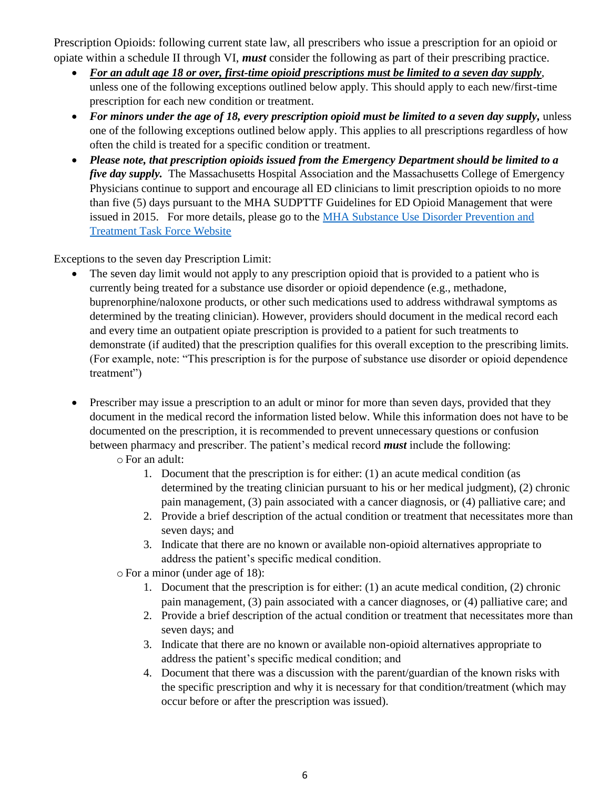Prescription Opioids: following current state law, all prescribers who issue a prescription for an opioid or opiate within a schedule II through VI, *must* consider the following as part of their prescribing practice.

- *For an adult age 18 or over, first-time opioid prescriptions must be limited to a seven day supply*, unless one of the following exceptions outlined below apply. This should apply to each new/first-time prescription for each new condition or treatment.
- *For minors under the age of 18, every prescription opioid must be limited to a seven day supply,* unless one of the following exceptions outlined below apply. This applies to all prescriptions regardless of how often the child is treated for a specific condition or treatment.
- *Please note, that prescription opioids issued from the Emergency Department should be limited to a five day supply.* The Massachusetts Hospital Association and the Massachusetts College of Emergency Physicians continue to support and encourage all ED clinicians to limit prescription opioids to no more than five (5) days pursuant to the MHA SUDPTTF Guidelines for ED Opioid Management that were issued in 2015. For more details, please go to the [MHA Substance Use Disorder Prevention and](http://www.mhalink.org/Content/NavigationMenu/Newsroom/SubstanceAbuse/default.htm)  [Treatment Task Force Website](http://www.mhalink.org/Content/NavigationMenu/Newsroom/SubstanceAbuse/default.htm)

Exceptions to the seven day Prescription Limit:

- The seven day limit would not apply to any prescription opioid that is provided to a patient who is currently being treated for a substance use disorder or opioid dependence (e.g., methadone, buprenorphine/naloxone products, or other such medications used to address withdrawal symptoms as determined by the treating clinician). However, providers should document in the medical record each and every time an outpatient opiate prescription is provided to a patient for such treatments to demonstrate (if audited) that the prescription qualifies for this overall exception to the prescribing limits. (For example, note: "This prescription is for the purpose of substance use disorder or opioid dependence treatment")
- Prescriber may issue a prescription to an adult or minor for more than seven days, provided that they document in the medical record the information listed below. While this information does not have to be documented on the prescription, it is recommended to prevent unnecessary questions or confusion between pharmacy and prescriber. The patient's medical record *must* include the following:
	- o For an adult:
		- 1. Document that the prescription is for either: (1) an acute medical condition (as determined by the treating clinician pursuant to his or her medical judgment), (2) chronic pain management, (3) pain associated with a cancer diagnosis, or (4) palliative care; and
		- 2. Provide a brief description of the actual condition or treatment that necessitates more than seven days; and
		- 3. Indicate that there are no known or available non-opioid alternatives appropriate to address the patient's specific medical condition.
	- o For a minor (under age of 18):
		- 1. Document that the prescription is for either: (1) an acute medical condition, (2) chronic pain management, (3) pain associated with a cancer diagnoses, or (4) palliative care; and
		- 2. Provide a brief description of the actual condition or treatment that necessitates more than seven days; and
		- 3. Indicate that there are no known or available non-opioid alternatives appropriate to address the patient's specific medical condition; and
		- 4. Document that there was a discussion with the parent/guardian of the known risks with the specific prescription and why it is necessary for that condition/treatment (which may occur before or after the prescription was issued).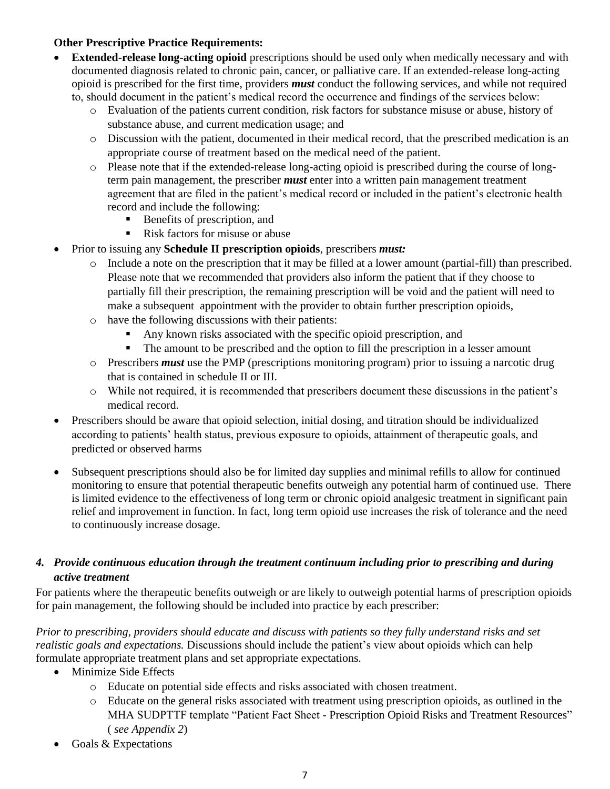#### **Other Prescriptive Practice Requirements:**

- **Extended-release long-acting opioid** prescriptions should be used only when medically necessary and with documented diagnosis related to chronic pain, cancer, or palliative care. If an extended-release long-acting opioid is prescribed for the first time, providers *must* conduct the following services, and while not required to, should document in the patient's medical record the occurrence and findings of the services below:
	- o Evaluation of the patients current condition, risk factors for substance misuse or abuse, history of substance abuse, and current medication usage; and
	- o Discussion with the patient, documented in their medical record, that the prescribed medication is an appropriate course of treatment based on the medical need of the patient.
	- o Please note that if the extended-release long-acting opioid is prescribed during the course of longterm pain management, the prescriber *must* enter into a written pain management treatment agreement that are filed in the patient's medical record or included in the patient's electronic health record and include the following:
		- Benefits of prescription, and
		- Risk factors for misuse or abuse
- Prior to issuing any **Schedule II prescription opioids**, prescribers *must:*
	- o Include a note on the prescription that it may be filled at a lower amount (partial-fill) than prescribed. Please note that we recommended that providers also inform the patient that if they choose to partially fill their prescription, the remaining prescription will be void and the patient will need to make a subsequent appointment with the provider to obtain further prescription opioids,
	- o have the following discussions with their patients:
		- Any known risks associated with the specific opioid prescription, and
		- The amount to be prescribed and the option to fill the prescription in a lesser amount
	- o Prescribers *must* use the PMP (prescriptions monitoring program) prior to issuing a narcotic drug that is contained in schedule II or III.
	- o While not required, it is recommended that prescribers document these discussions in the patient's medical record.
- Prescribers should be aware that opioid selection, initial dosing, and titration should be individualized according to patients' health status, previous exposure to opioids, attainment of therapeutic goals, and predicted or observed harms
- Subsequent prescriptions should also be for limited day supplies and minimal refills to allow for continued monitoring to ensure that potential therapeutic benefits outweigh any potential harm of continued use. There is limited evidence to the effectiveness of long term or chronic opioid analgesic treatment in significant pain relief and improvement in function. In fact, long term opioid use increases the risk of tolerance and the need to continuously increase dosage.

### *4. Provide continuous education through the treatment continuum including prior to prescribing and during active treatment*

For patients where the therapeutic benefits outweigh or are likely to outweigh potential harms of prescription opioids for pain management, the following should be included into practice by each prescriber:

*Prior to prescribing, providers should educate and discuss with patients so they fully understand risks and set realistic goals and expectations.* Discussions should include the patient's view about opioids which can help formulate appropriate treatment plans and set appropriate expectations.

- Minimize Side Effects
	- o Educate on potential side effects and risks associated with chosen treatment.
	- o Educate on the general risks associated with treatment using prescription opioids, as outlined in the MHA SUDPTTF template "Patient Fact Sheet - Prescription Opioid Risks and Treatment Resources" ( *see Appendix 2*)
- Goals & Expectations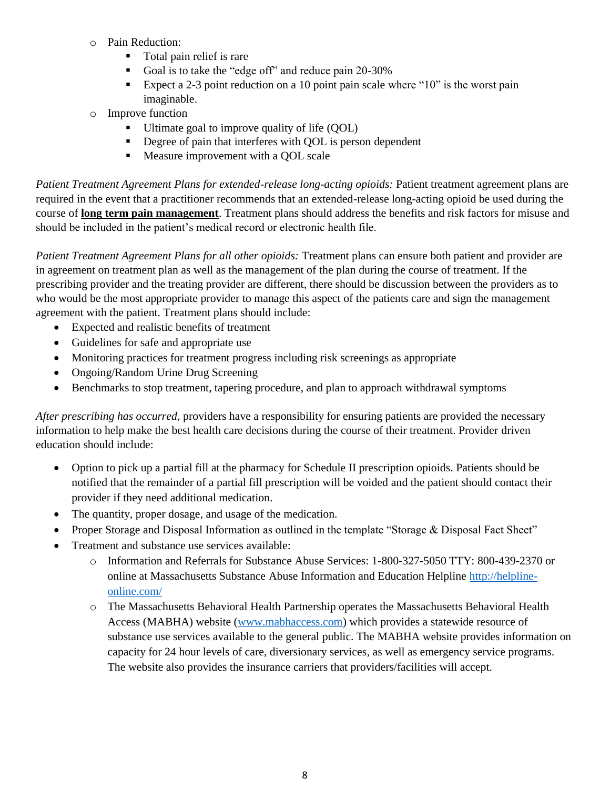- o Pain Reduction:
	- Total pain relief is rare
	- Goal is to take the "edge off" and reduce pain 20-30%
	- Expect a 2-3 point reduction on a 10 point pain scale where " $10$ " is the worst pain imaginable.
- o Improve function
	- Ultimate goal to improve quality of life (QOL)
	- Degree of pain that interferes with QOL is person dependent
	- **Measure improvement with a QOL scale**

*Patient Treatment Agreement Plans for extended-release long-acting opioids: Patient treatment agreement plans are* required in the event that a practitioner recommends that an extended-release long-acting opioid be used during the course of **long term pain management**. Treatment plans should address the benefits and risk factors for misuse and should be included in the patient's medical record or electronic health file.

*Patient Treatment Agreement Plans for all other opioids:* Treatment plans can ensure both patient and provider are in agreement on treatment plan as well as the management of the plan during the course of treatment. If the prescribing provider and the treating provider are different, there should be discussion between the providers as to who would be the most appropriate provider to manage this aspect of the patients care and sign the management agreement with the patient. Treatment plans should include:

- Expected and realistic benefits of treatment
- Guidelines for safe and appropriate use
- Monitoring practices for treatment progress including risk screenings as appropriate
- Ongoing/Random Urine Drug Screening
- Benchmarks to stop treatment, tapering procedure, and plan to approach withdrawal symptoms

*After prescribing has occurred,* providers have a responsibility for ensuring patients are provided the necessary information to help make the best health care decisions during the course of their treatment. Provider driven education should include:

- Option to pick up a partial fill at the pharmacy for Schedule II prescription opioids. Patients should be notified that the remainder of a partial fill prescription will be voided and the patient should contact their provider if they need additional medication.
- The quantity, proper dosage, and usage of the medication.
- Proper Storage and Disposal Information as outlined in the template "Storage & Disposal Fact Sheet"
- Treatment and substance use services available:
	- o Information and Referrals for Substance Abuse Services: 1-800-327-5050 TTY: 800-439-2370 or online at Massachusetts Substance Abuse Information and Education Helpline [http://helpline](http://helpline-online.com/)[online.com/](http://helpline-online.com/)
	- o The Massachusetts Behavioral Health Partnership operates the Massachusetts Behavioral Health Access (MABHA) website [\(www.mabhaccess.com\)](http://www.mabhaccess.com/) which provides a statewide resource of substance use services available to the general public. The MABHA website provides information on capacity for 24 hour levels of care, diversionary services, as well as emergency service programs. The website also provides the insurance carriers that providers/facilities will accept.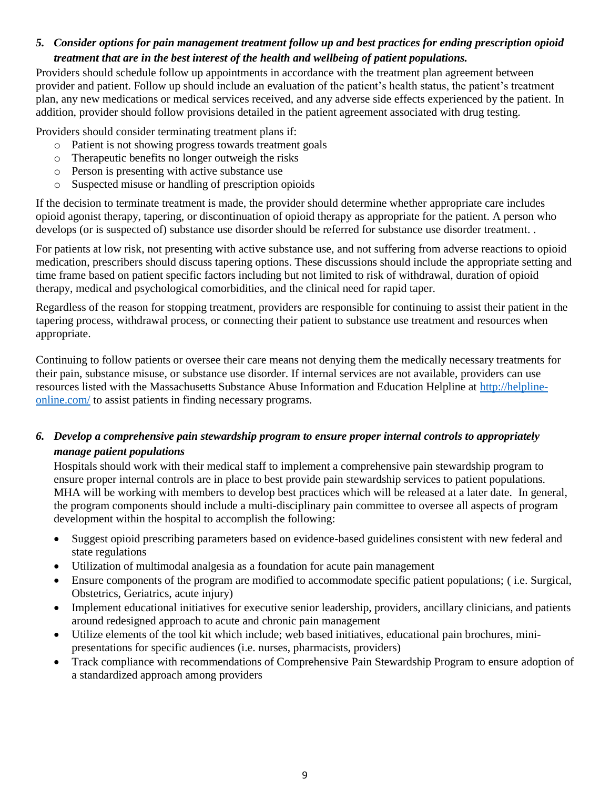## *5. Consider options for pain management treatment follow up and best practices for ending prescription opioid treatment that are in the best interest of the health and wellbeing of patient populations.*

Providers should schedule follow up appointments in accordance with the treatment plan agreement between provider and patient. Follow up should include an evaluation of the patient's health status, the patient's treatment plan, any new medications or medical services received, and any adverse side effects experienced by the patient. In addition, provider should follow provisions detailed in the patient agreement associated with drug testing.

Providers should consider terminating treatment plans if:

- o Patient is not showing progress towards treatment goals
- o Therapeutic benefits no longer outweigh the risks
- o Person is presenting with active substance use
- o Suspected misuse or handling of prescription opioids

If the decision to terminate treatment is made, the provider should determine whether appropriate care includes opioid agonist therapy, tapering, or discontinuation of opioid therapy as appropriate for the patient. A person who develops (or is suspected of) substance use disorder should be referred for substance use disorder treatment. .

For patients at low risk, not presenting with active substance use, and not suffering from adverse reactions to opioid medication, prescribers should discuss tapering options. These discussions should include the appropriate setting and time frame based on patient specific factors including but not limited to risk of withdrawal, duration of opioid therapy, medical and psychological comorbidities, and the clinical need for rapid taper.

Regardless of the reason for stopping treatment, providers are responsible for continuing to assist their patient in the tapering process, withdrawal process, or connecting their patient to substance use treatment and resources when appropriate.

Continuing to follow patients or oversee their care means not denying them the medically necessary treatments for their pain, substance misuse, or substance use disorder. If internal services are not available, providers can use resources listed with the Massachusetts Substance Abuse Information and Education Helpline at [http://helpline](http://helpline-online.com/)[online.com/](http://helpline-online.com/) to assist patients in finding necessary programs.

*6. Develop a comprehensive pain stewardship program to ensure proper internal controls to appropriately manage patient populations*

Hospitals should work with their medical staff to implement a comprehensive pain stewardship program to ensure proper internal controls are in place to best provide pain stewardship services to patient populations. MHA will be working with members to develop best practices which will be released at a later date. In general, the program components should include a multi-disciplinary pain committee to oversee all aspects of program development within the hospital to accomplish the following:

- Suggest opioid prescribing parameters based on evidence-based guidelines consistent with new federal and state regulations
- Utilization of multimodal analgesia as a foundation for acute pain management
- Ensure components of the program are modified to accommodate specific patient populations; ( i.e. Surgical, Obstetrics, Geriatrics, acute injury)
- Implement educational initiatives for executive senior leadership, providers, ancillary clinicians, and patients around redesigned approach to acute and chronic pain management
- Utilize elements of the tool kit which include; web based initiatives, educational pain brochures, minipresentations for specific audiences (i.e. nurses, pharmacists, providers)
- Track compliance with recommendations of Comprehensive Pain Stewardship Program to ensure adoption of a standardized approach among providers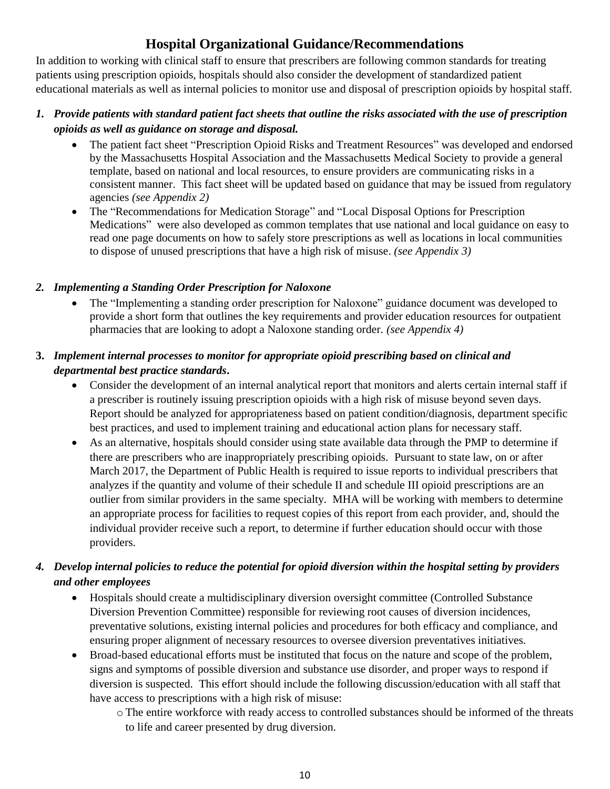# **Hospital Organizational Guidance/Recommendations**

In addition to working with clinical staff to ensure that prescribers are following common standards for treating patients using prescription opioids, hospitals should also consider the development of standardized patient educational materials as well as internal policies to monitor use and disposal of prescription opioids by hospital staff.

## *1. Provide patients with standard patient fact sheets that outline the risks associated with the use of prescription opioids as well as guidance on storage and disposal.*

- The patient fact sheet "Prescription Opioid Risks and Treatment Resources" was developed and endorsed by the Massachusetts Hospital Association and the Massachusetts Medical Society to provide a general template, based on national and local resources, to ensure providers are communicating risks in a consistent manner. This fact sheet will be updated based on guidance that may be issued from regulatory agencies *(see Appendix 2)*
- The "Recommendations for Medication Storage" and "Local Disposal Options for Prescription Medications" were also developed as common templates that use national and local guidance on easy to read one page documents on how to safely store prescriptions as well as locations in local communities to dispose of unused prescriptions that have a high risk of misuse. *(see Appendix 3)*

## *2. Implementing a Standing Order Prescription for Naloxone*

 The "Implementing a standing order prescription for Naloxone" guidance document was developed to provide a short form that outlines the key requirements and provider education resources for outpatient pharmacies that are looking to adopt a Naloxone standing order. *(see Appendix 4)*

## **3.** *Implement internal processes to monitor for appropriate opioid prescribing based on clinical and departmental best practice standards***.**

- Consider the development of an internal analytical report that monitors and alerts certain internal staff if a prescriber is routinely issuing prescription opioids with a high risk of misuse beyond seven days. Report should be analyzed for appropriateness based on patient condition/diagnosis, department specific best practices, and used to implement training and educational action plans for necessary staff.
- As an alternative, hospitals should consider using state available data through the PMP to determine if there are prescribers who are inappropriately prescribing opioids. Pursuant to state law, on or after March 2017, the Department of Public Health is required to issue reports to individual prescribers that analyzes if the quantity and volume of their schedule II and schedule III opioid prescriptions are an outlier from similar providers in the same specialty. MHA will be working with members to determine an appropriate process for facilities to request copies of this report from each provider, and, should the individual provider receive such a report, to determine if further education should occur with those providers.

# *4. Develop internal policies to reduce the potential for opioid diversion within the hospital setting by providers and other employees*

- Hospitals should create a multidisciplinary diversion oversight committee (Controlled Substance Diversion Prevention Committee) responsible for reviewing root causes of diversion incidences, preventative solutions, existing internal policies and procedures for both efficacy and compliance, and ensuring proper alignment of necessary resources to oversee diversion preventatives initiatives.
- Broad-based educational efforts must be instituted that focus on the nature and scope of the problem, signs and symptoms of possible diversion and substance use disorder, and proper ways to respond if diversion is suspected. This effort should include the following discussion/education with all staff that have access to prescriptions with a high risk of misuse:
	- o The entire workforce with ready access to controlled substances should be informed of the threats to life and career presented by drug diversion.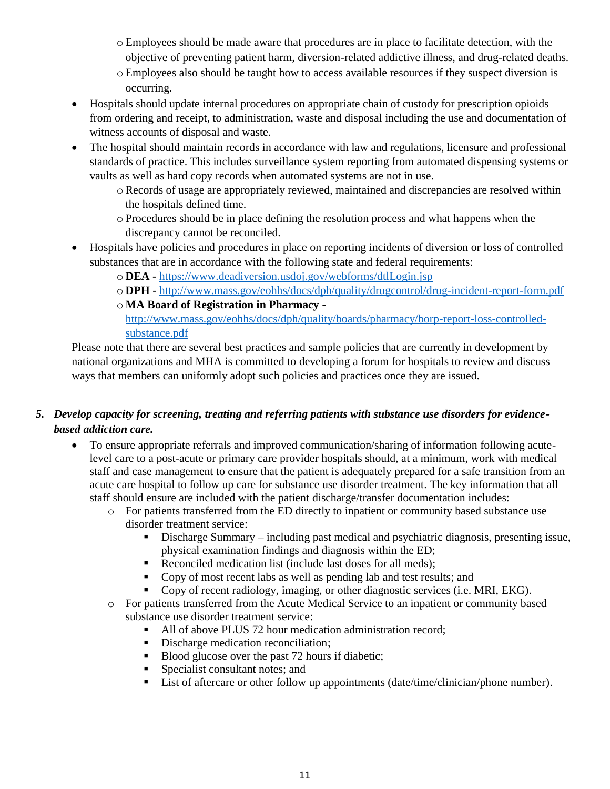- o Employees should be made aware that procedures are in place to facilitate detection, with the objective of preventing patient harm, diversion-related addictive illness, and drug-related deaths.
- o Employees also should be taught how to access available resources if they suspect diversion is occurring.
- Hospitals should update internal procedures on appropriate chain of custody for prescription opioids from ordering and receipt, to administration, waste and disposal including the use and documentation of witness accounts of disposal and waste.
- The hospital should maintain records in accordance with law and regulations, licensure and professional standards of practice. This includes surveillance system reporting from automated dispensing systems or vaults as well as hard copy records when automated systems are not in use.
	- o Records of usage are appropriately reviewed, maintained and discrepancies are resolved within the hospitals defined time.
	- o Procedures should be in place defining the resolution process and what happens when the discrepancy cannot be reconciled.
- Hospitals have policies and procedures in place on reporting incidents of diversion or loss of controlled substances that are in accordance with the following state and federal requirements:
	- o **DEA -** <https://www.deadiversion.usdoj.gov/webforms/dtlLogin.jsp>
	- o **DPH -** <http://www.mass.gov/eohhs/docs/dph/quality/drugcontrol/drug-incident-report-form.pdf>
	- o **MA Board of Registration in Pharmacy**  [http://www.mass.gov/eohhs/docs/dph/quality/boards/pharmacy/borp-report-loss-controlled](http://www.mass.gov/eohhs/docs/dph/quality/boards/pharmacy/borp-report-loss-controlled-substance.pdf)[substance.pdf](http://www.mass.gov/eohhs/docs/dph/quality/boards/pharmacy/borp-report-loss-controlled-substance.pdf)

Please note that there are several best practices and sample policies that are currently in development by national organizations and MHA is committed to developing a forum for hospitals to review and discuss ways that members can uniformly adopt such policies and practices once they are issued.

# *5. Develop capacity for screening, treating and referring patients with substance use disorders for evidencebased addiction care.*

- To ensure appropriate referrals and improved communication/sharing of information following acutelevel care to a post-acute or primary care provider hospitals should, at a minimum, work with medical staff and case management to ensure that the patient is adequately prepared for a safe transition from an acute care hospital to follow up care for substance use disorder treatment. The key information that all staff should ensure are included with the patient discharge/transfer documentation includes:
	- o For patients transferred from the ED directly to inpatient or community based substance use disorder treatment service:
		- Discharge Summary including past medical and psychiatric diagnosis, presenting issue, physical examination findings and diagnosis within the ED;
		- Reconciled medication list (include last doses for all meds);
		- Copy of most recent labs as well as pending lab and test results; and
		- Copy of recent radiology, imaging, or other diagnostic services (i.e. MRI, EKG).
	- o For patients transferred from the Acute Medical Service to an inpatient or community based substance use disorder treatment service:
		- All of above PLUS 72 hour medication administration record;
		- Discharge medication reconciliation;
		- Blood glucose over the past 72 hours if diabetic;
		- **Specialist consultant notes; and**
		- List of aftercare or other follow up appointments (date/time/clinician/phone number).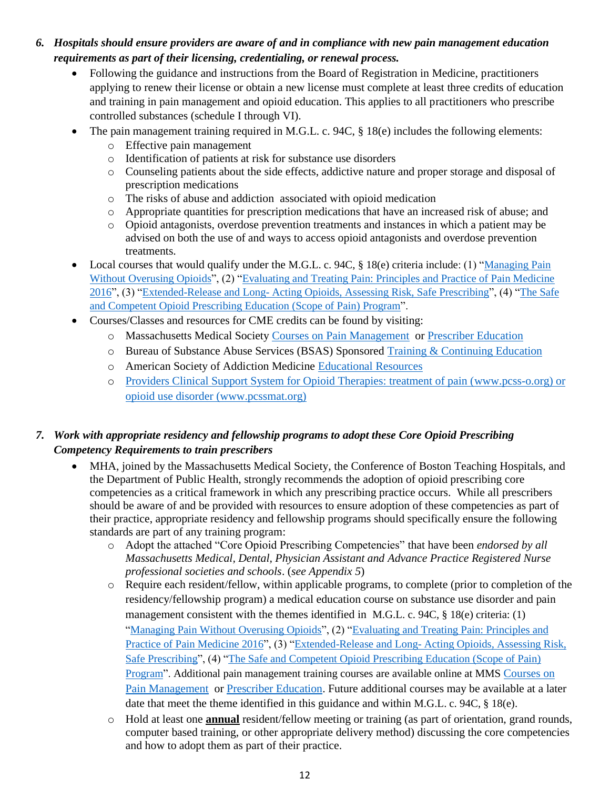- *6. Hospitals should ensure providers are aware of and in compliance with new pain management education requirements as part of their licensing, credentialing, or renewal process.* 
	- Following the guidance and instructions from the Board of Registration in Medicine, practitioners applying to renew their license or obtain a new license must complete at least three credits of education and training in pain management and opioid education. This applies to all practitioners who prescribe controlled substances (schedule I through VI).
	- The pain management training required in M.G.L. c. 94C, § 18(e) includes the following elements:
		- o Effective pain management
		- o Identification of patients at risk for substance use disorders
		- o Counseling patients about the side effects, addictive nature and proper storage and disposal of prescription medications
		- o The risks of abuse and addiction associated with opioid medication
		- o Appropriate quantities for prescription medications that have an increased risk of abuse; and
		- o Opioid antagonists, overdose prevention treatments and instances in which a patient may be advised on both the use of and ways to access opioid antagonists and overdose prevention treatments.
	- Local courses that would qualify under the M.G.L. c. 94C, § 18(e) criteria include: (1) "Managing Pain [Without Overusing Opioids"](http://www.massmed.org/Continuing-Education-and-Events/Online-CME/Courses/Managing-Pain-Without-Overusing-Opioids/Managing-Pain-Without-Overusing-Opioids/), (2) "Evaluating and Treating Pain: Principles and Practice of Pain Medicine [2016"](http://cmeregistration.hms.harvard.edu/events/evaluating-and-treating-pain-principles-and-practice-of-pain-medicine-2016/event-summary-d19cae4b42244d04ba7ad52669206d4f.aspx), (3) "Extended-Release and Long- [Acting Opioids, Assessing Risk, Safe Prescribing"](https://rems.community360.net/default.aspx), (4) ["The Safe](https://www.scopeofpain.com/)  [and Competent Opioid Prescribing Education \(Scope of Pain\) Program"](https://www.scopeofpain.com/).
	- Courses/Classes and resources for CME credits can be found by visiting:
		- o Massachusetts Medical Society [Courses on Pain Management](http://www.massmed.org/Continuing-Education-and-Events/Online-CME/Online-CME-Courses/#OPM) or [Prescriber Education](http://www.massmed.org/Patient-Care/Health-Topics/Opioids/Prescriber-Education/)
		- o Bureau of Substance Abuse Services (BSAS) Sponsored [Training & Continuing Education](http://www.mass.gov/eohhs/gov/departments/dph/programs/substance-abuse/providers/substance-abuse-training.html)
		- o American Society of Addiction Medicine [Educational Resources](http://www.asam.org/education/resources)
		- o Providers Clinical Support System for Opioid Therapies: treatment of pain [\(www.pcss-o.org\)](http://www.pcss-o.org/) or opioid use disorder (www.pcssmat.org)

## *7. Work with appropriate residency and fellowship programs to adopt these Core Opioid Prescribing Competency Requirements to train prescribers*

- MHA, joined by the Massachusetts Medical Society, the Conference of Boston Teaching Hospitals, and the Department of Public Health, strongly recommends the adoption of opioid prescribing core competencies as a critical framework in which any prescribing practice occurs. While all prescribers should be aware of and be provided with resources to ensure adoption of these competencies as part of their practice, appropriate residency and fellowship programs should specifically ensure the following standards are part of any training program:
	- o Adopt the attached "Core Opioid Prescribing Competencies" that have been *endorsed by all Massachusetts Medical, Dental, Physician Assistant and Advance Practice Registered Nurse professional societies and schools*. (*see Appendix 5*)
	- o Require each resident/fellow, within applicable programs, to complete (prior to completion of the residency/fellowship program) a medical education course on substance use disorder and pain management consistent with the themes identified in M.G.L. c. 94C, § 18(e) criteria: (1) ["Managing Pain Without Overusing Opioids"](http://www.massmed.org/Continuing-Education-and-Events/Online-CME/Courses/Managing-Pain-Without-Overusing-Opioids/Managing-Pain-Without-Overusing-Opioids/), (2) "Evaluating and Treating Pain: Principles and [Practice of Pain Medicine 2016"](http://cmeregistration.hms.harvard.edu/events/evaluating-and-treating-pain-principles-and-practice-of-pain-medicine-2016/event-summary-d19cae4b42244d04ba7ad52669206d4f.aspx), (3) "Extended-Release and Long- [Acting Opioids, Assessing Risk,](https://rems.community360.net/default.aspx)  [Safe Prescribing"](https://rems.community360.net/default.aspx), (4) ["The Safe and Competent Opioid Prescribing Education \(Scope of Pain\)](https://www.scopeofpain.com/)  [Program"](https://www.scopeofpain.com/). Additional pain management training courses are available online at MMS Courses on [Pain Management](http://www.massmed.org/Continuing-Education-and-Events/Online-CME/Online-CME-Courses/#OPM) or [Prescriber Education.](http://www.massmed.org/Patient-Care/Health-Topics/Opioids/Prescriber-Education/) Future additional courses may be available at a later date that meet the theme identified in this guidance and within M.G.L. c. 94C, § 18(e).
	- o Hold at least one **annual** resident/fellow meeting or training (as part of orientation, grand rounds, computer based training, or other appropriate delivery method) discussing the core competencies and how to adopt them as part of their practice.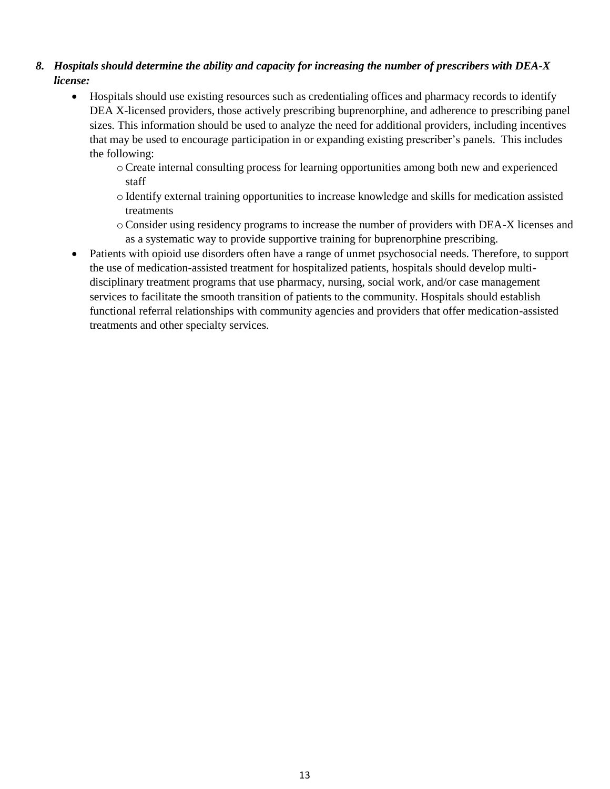## *8. Hospitals should determine the ability and capacity for increasing the number of prescribers with DEA-X license:*

- Hospitals should use existing resources such as credentialing offices and pharmacy records to identify DEA X-licensed providers, those actively prescribing buprenorphine, and adherence to prescribing panel sizes. This information should be used to analyze the need for additional providers, including incentives that may be used to encourage participation in or expanding existing prescriber's panels. This includes the following:
	- o Create internal consulting process for learning opportunities among both new and experienced staff
	- o Identify external training opportunities to increase knowledge and skills for medication assisted treatments
	- o Consider using residency programs to increase the number of providers with DEA-X licenses and as a systematic way to provide supportive training for buprenorphine prescribing.
- Patients with opioid use disorders often have a range of unmet psychosocial needs. Therefore, to support the use of medication-assisted treatment for hospitalized patients, hospitals should develop multidisciplinary treatment programs that use pharmacy, nursing, social work, and/or case management services to facilitate the smooth transition of patients to the community. Hospitals should establish functional referral relationships with community agencies and providers that offer medication-assisted treatments and other specialty services.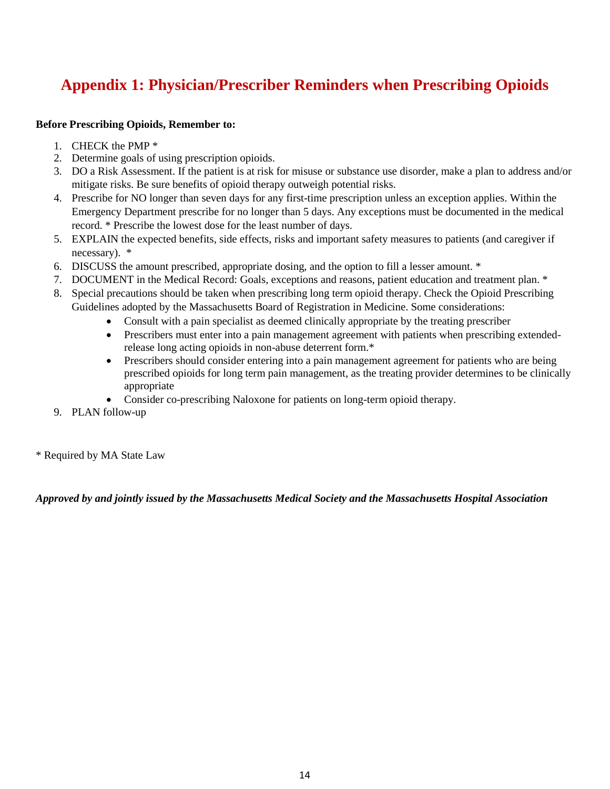# **Appendix 1: Physician/Prescriber Reminders when Prescribing Opioids**

#### **Before Prescribing Opioids, Remember to:**

- 1. CHECK the PMP \*
- 2. Determine goals of using prescription opioids.
- 3. DO a Risk Assessment. If the patient is at risk for misuse or substance use disorder, make a plan to address and/or mitigate risks. Be sure benefits of opioid therapy outweigh potential risks.
- 4. Prescribe for NO longer than seven days for any first-time prescription unless an exception applies. Within the Emergency Department prescribe for no longer than 5 days. Any exceptions must be documented in the medical record. \* Prescribe the lowest dose for the least number of days.
- 5. EXPLAIN the expected benefits, side effects, risks and important safety measures to patients (and caregiver if necessary). \*
- 6. DISCUSS the amount prescribed, appropriate dosing, and the option to fill a lesser amount. \*
- 7. DOCUMENT in the Medical Record: Goals, exceptions and reasons, patient education and treatment plan. \*
- 8. Special precautions should be taken when prescribing long term opioid therapy. Check the Opioid Prescribing Guidelines adopted by the Massachusetts Board of Registration in Medicine. Some considerations:
	- Consult with a pain specialist as deemed clinically appropriate by the treating prescriber
	- Prescribers must enter into a pain management agreement with patients when prescribing extendedrelease long acting opioids in non-abuse deterrent form.\*
	- Prescribers should consider entering into a pain management agreement for patients who are being prescribed opioids for long term pain management, as the treating provider determines to be clinically appropriate
	- Consider co-prescribing Naloxone for patients on long-term opioid therapy.
- 9. PLAN follow-up

\* Required by MA State Law

*Approved by and jointly issued by the Massachusetts Medical Society and the Massachusetts Hospital Association*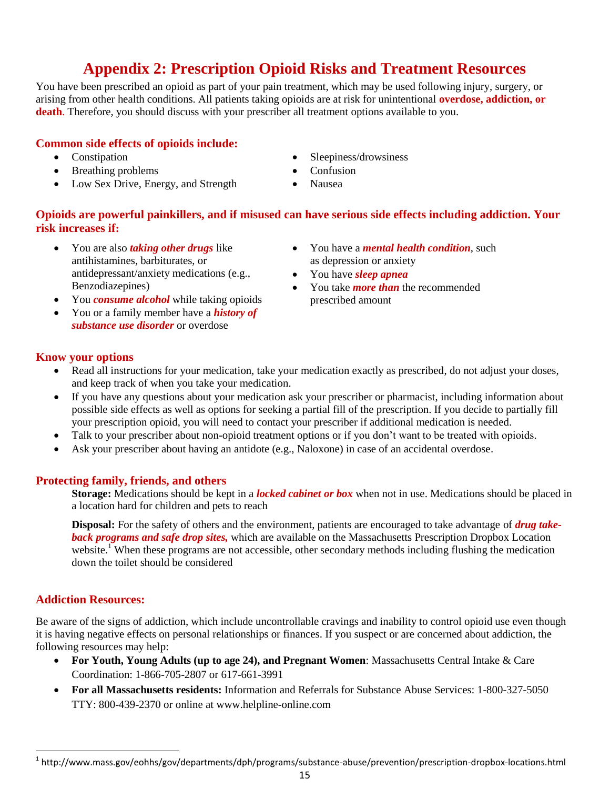# **Appendix 2: Prescription Opioid Risks and Treatment Resources**

You have been prescribed an opioid as part of your pain treatment, which may be used following injury, surgery, or arising from other health conditions. All patients taking opioids are at risk for unintentional **overdose, addiction, or death**. Therefore, you should discuss with your prescriber all treatment options available to you.

### **Common side effects of opioids include:**

- Constipation
- Breathing problems
- Low Sex Drive, Energy, and Strength
- Sleepiness/drowsiness
- Confusion
- Nausea

### **Opioids are powerful painkillers, and if misused can have serious side effects including addiction. Your risk increases if:**

- You are also *taking other drugs* like antihistamines, barbiturates, or antidepressant/anxiety medications (e.g., Benzodiazepines)
- You *consume alcohol* while taking opioids
- You or a family member have a *history of substance use disorder* or overdose
- You have a *mental health condition*, such as depression or anxiety
- You have *sleep apnea*
- You take *more than* the recommended prescribed amount

#### **Know your options**

- Read all instructions for your medication, take your medication exactly as prescribed, do not adjust your doses, and keep track of when you take your medication.
- If you have any questions about your medication ask your prescriber or pharmacist, including information about possible side effects as well as options for seeking a partial fill of the prescription. If you decide to partially fill your prescription opioid, you will need to contact your prescriber if additional medication is needed.
- Talk to your prescriber about non-opioid treatment options or if you don't want to be treated with opioids.
- Ask your prescriber about having an antidote (e.g., Naloxone) in case of an accidental overdose.

#### **Protecting family, friends, and others**

**Storage:** Medications should be kept in a *locked cabinet or box* when not in use. Medications should be placed in a location hard for children and pets to reach

**Disposal:** For the safety of others and the environment, patients are encouraged to take advantage of *drug takeback programs and safe drop sites,* which are available on the Massachusetts Prescription Dropbox Location website.<sup>1</sup> When these programs are not accessible, other secondary methods including flushing the medication down the toilet should be considered

#### **Addiction Resources:**

Be aware of the signs of addiction, which include uncontrollable cravings and inability to control opioid use even though it is having negative effects on personal relationships or finances. If you suspect or are concerned about addiction, the following resources may help:

- **For Youth, Young Adults (up to age 24), and Pregnant Women**: Massachusetts Central Intake & Care Coordination: 1-866-705-2807 or 617-661-3991
- **For all Massachusetts residents:** Information and Referrals for Substance Abuse Services: 1-800-327-5050 TTY: 800-439-2370 or online at [www.helpline-online.com](http://www.helpline-online.com/)

 1 http://www.mass.gov/eohhs/gov/departments/dph/programs/substance-abuse/prevention/prescription-dropbox-locations.html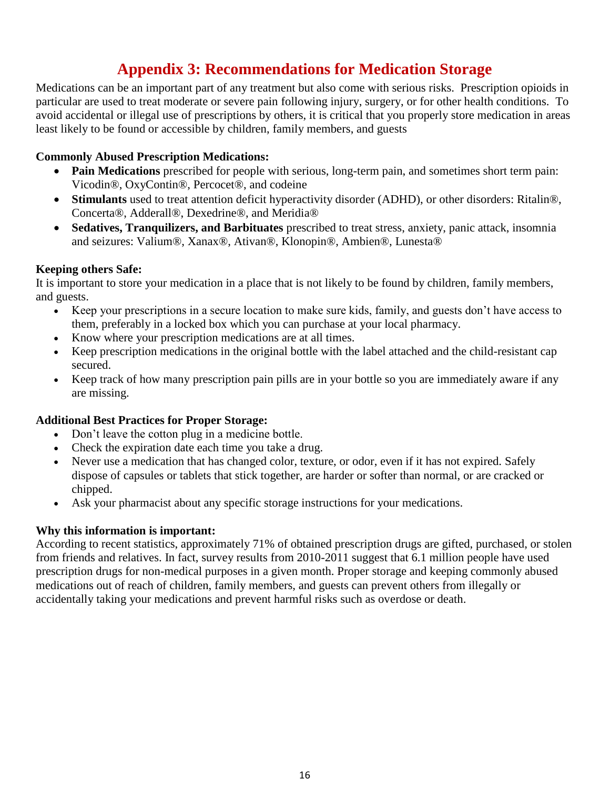# **Appendix 3: Recommendations for Medication Storage**

Medications can be an important part of any treatment but also come with serious risks. Prescription opioids in particular are used to treat moderate or severe pain following injury, surgery, or for other health conditions. To avoid accidental or illegal use of prescriptions by others, it is critical that you properly store medication in areas least likely to be found or accessible by children, family members, and guests

#### **Commonly Abused Prescription Medications:**

- **Pain Medications** prescribed for people with serious, long-term pain, and sometimes short term pain: Vicodin®, OxyContin®, Percocet®, and codeine
- **Stimulants** used to treat attention deficit hyperactivity disorder (ADHD), or other disorders: Ritalin®, Concerta®, Adderall®, Dexedrine®, and Meridia®
- **Sedatives, Tranquilizers, and Barbituates** prescribed to treat stress, anxiety, panic attack, insomnia and seizures: Valium®, Xanax®, Ativan®, Klonopin®, Ambien®, Lunesta®

#### **Keeping others Safe:**

It is important to store your medication in a place that is not likely to be found by children, family members, and guests.

- Keep your prescriptions in a secure location to make sure kids, family, and guests don't have access to them, preferably in a locked box which you can purchase at your local pharmacy.
- Know where your prescription medications are at all times.
- Keep prescription medications in the original bottle with the label attached and the child-resistant cap secured.
- Keep track of how many prescription pain pills are in your bottle so you are immediately aware if any are missing.

#### **Additional Best Practices for Proper Storage:**

- Don't leave the cotton plug in a medicine bottle.
- Check the expiration date each time you take a drug.
- Never use a medication that has changed color, texture, or odor, even if it has not expired. Safely dispose of capsules or tablets that stick together, are harder or softer than normal, or are cracked or chipped.
- Ask your pharmacist about any specific storage instructions for your medications.

#### **Why this information is important:**

According to recent statistics, approximately 71% of obtained prescription drugs are gifted, purchased, or stolen from friends and relatives. In fact, survey results from 2010-2011 suggest that 6.1 million people have used prescription drugs for non-medical purposes in a given month. Proper storage and keeping commonly abused medications out of reach of children, family members, and guests can prevent others from illegally or accidentally taking your medications and prevent harmful risks such as overdose or death.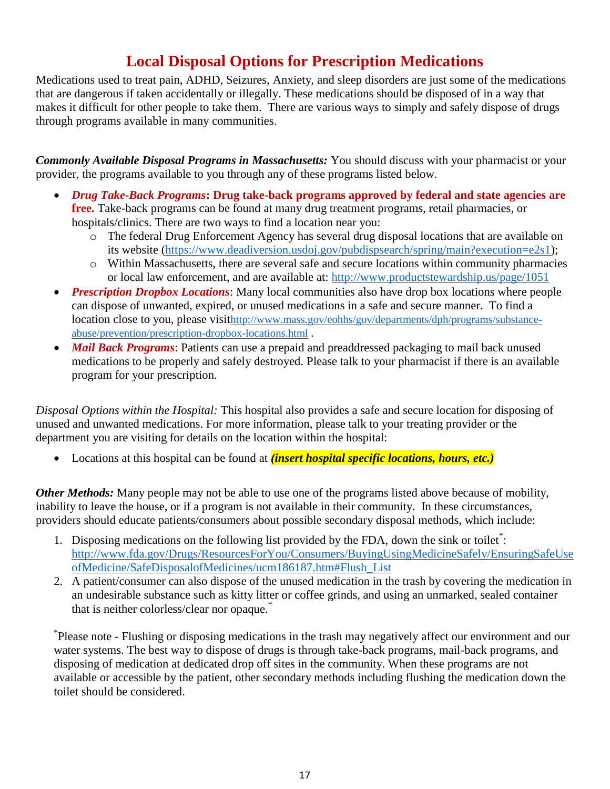# **Local Disposal Options for Prescription Medications**

Medications used to treat pain, ADHD, Seizures, Anxiety, and sleep disorders are just some of the medications that are dangerous if taken accidentally or illegally. These medications should be disposed of in a way that makes it difficult for other people to take them. There are various ways to simply and safely dispose of drugs through programs available in many communities.

*Commonly Available Disposal Programs in Massachusetts:* You should discuss with your pharmacist or your provider, the programs available to you through any of these programs listed below.

- *Drug Take-Back Programs***: Drug take-back programs approved by federal and state agencies are free.** Take-back programs can be found at many drug treatment programs, retail pharmacies, or hospitals/clinics. There are two ways to find a location near you:
	- o The federal Drug Enforcement Agency has several drug disposal locations that are available on its website [\(https://www.deadiversion.usdoj.gov/pubdispsearch/spring/main?execution=e2s1\)](https://www.deadiversion.usdoj.gov/pubdispsearch/spring/main?execution=e2s1);
	- o Within Massachusetts, there are several safe and secure locations within community pharmacies or local law enforcement, and are available at:<http://www.productstewardship.us/page/1051>
- *Prescription Dropbox Locations*: Many local communities also have drop box locations where people can dispose of unwanted, expired, or unused medications in a safe and secure manner. To find a location close to you, please visit[http://www.mass.gov/eohhs/gov/departments/dph/programs/substance](http://www.mass.gov/eohhs/gov/departments/dph/programs/substance-abuse/prevention/prescription-dropbox-locations.html)[abuse/prevention/prescription-dropbox-locations.html](http://www.mass.gov/eohhs/gov/departments/dph/programs/substance-abuse/prevention/prescription-dropbox-locations.html) .
- *Mail Back Programs*: Patients can use a prepaid and preaddressed packaging to mail back unused medications to be properly and safely destroyed. Please talk to your pharmacist if there is an available program for your prescription.

*Disposal Options within the Hospital:* This hospital also provides a safe and secure location for disposing of unused and unwanted medications. For more information, please talk to your treating provider or the department you are visiting for details on the location within the hospital:

Locations at this hospital can be found at *(insert hospital specific locations, hours, etc.)*

*Other Methods:* Many people may not be able to use one of the programs listed above because of mobility, inability to leave the house, or if a program is not available in their community. In these circumstances, providers should educate patients/consumers about possible secondary disposal methods, which include:

- 1. Disposing medications on the following list provided by the FDA, down the sink or toilet\* : [http://www.fda.gov/Drugs/ResourcesForYou/Consumers/BuyingUsingMedicineSafely/EnsuringSafeUse](http://www.fda.gov/Drugs/ResourcesForYou/Consumers/BuyingUsingMedicineSafely/EnsuringSafeUseofMedicine/SafeDisposalofMedicines/ucm186187.htm#Flush_List) [ofMedicine/SafeDisposalofMedicines/ucm186187.htm#Flush\\_List](http://www.fda.gov/Drugs/ResourcesForYou/Consumers/BuyingUsingMedicineSafely/EnsuringSafeUseofMedicine/SafeDisposalofMedicines/ucm186187.htm#Flush_List)
- 2. A patient/consumer can also dispose of the unused medication in the trash by covering the medication in an undesirable substance such as kitty litter or coffee grinds, and using an unmarked, sealed container that is neither colorless/clear nor opaque.<sup>\*</sup>

\* Please note - Flushing or disposing medications in the trash may negatively affect our environment and our water systems. The best way to dispose of drugs is through take-back programs, mail-back programs, and disposing of medication at dedicated drop off sites in the community. When these programs are not available or accessible by the patient, other secondary methods including flushing the medication down the toilet should be considered.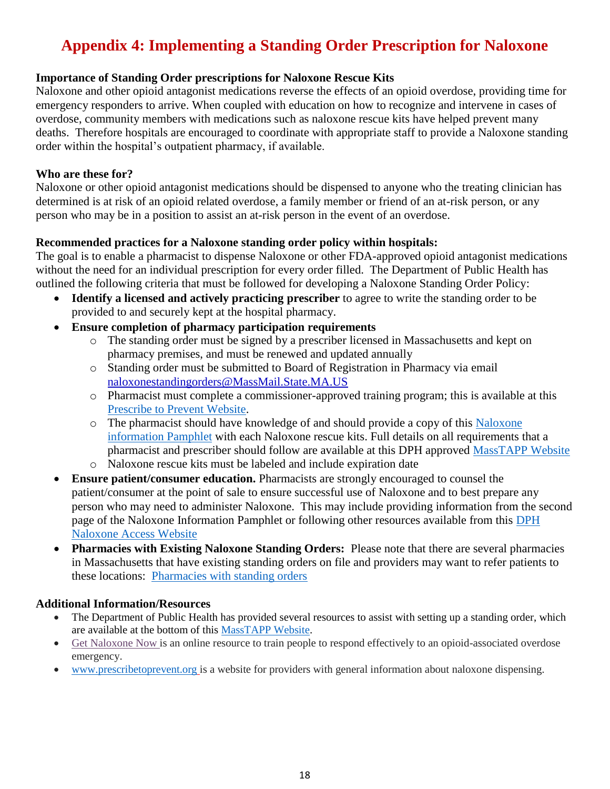# **Appendix 4: Implementing a Standing Order Prescription for Naloxone**

### **Importance of Standing Order prescriptions for Naloxone Rescue Kits**

Naloxone and other opioid antagonist medications reverse the effects of an opioid overdose, providing time for emergency responders to arrive. When coupled with education on how to recognize and intervene in cases of overdose, community members with medications such as naloxone rescue kits have helped prevent many deaths. Therefore hospitals are encouraged to coordinate with appropriate staff to provide a Naloxone standing order within the hospital's outpatient pharmacy, if available.

#### **Who are these for?**

Naloxone or other opioid antagonist medications should be dispensed to anyone who the treating clinician has determined is at risk of an opioid related overdose, a family member or friend of an at-risk person, or any person who may be in a position to assist an at-risk person in the event of an overdose.

### **Recommended practices for a Naloxone standing order policy within hospitals:**

The goal is to enable a pharmacist to dispense Naloxone or other FDA-approved opioid antagonist medications without the need for an individual prescription for every order filled. The Department of Public Health has outlined the following criteria that must be followed for developing a Naloxone Standing Order Policy:

- **Identify a licensed and actively practicing prescriber** to agree to write the standing order to be provided to and securely kept at the hospital pharmacy.
- **Ensure completion of pharmacy participation requirements** 
	- o The standing order must be signed by a prescriber licensed in Massachusetts and kept on pharmacy premises, and must be renewed and updated annually
	- o Standing order must be submitted to Board of Registration in Pharmacy via email [naloxonestandingorders@MassMail.State.MA.US](mailto:naloxonestandingorders@MassMail.State.MA.US)
	- o Pharmacist must complete a commissioner-approved training program; this is available at this [Prescribe to Prevent Website.](http://www.opioidprescribing.com/naloxone_module_1-landing)
	- o The pharmacist should have knowledge of and should provide a copy of this [Naloxone](http://www.mass.gov/eohhs/docs/dph/quality/boards/pharmacy/naloxone-pamphlet.pdf)  [information Pamphlet](http://www.mass.gov/eohhs/docs/dph/quality/boards/pharmacy/naloxone-pamphlet.pdf) with each Naloxone rescue kits. Full details on all requirements that a pharmacist and prescriber should follow are available at this DPH approved [MassTAPP Website](http://masstapp.edc.org/prescription-and-pharmacy-access-naloxone-rescue-kits)
	- o Naloxone rescue kits must be labeled and include expiration date
- **Ensure patient/consumer education.** Pharmacists are strongly encouraged to counsel the patient/consumer at the point of sale to ensure successful use of Naloxone and to best prepare any person who may need to administer Naloxone. This may include providing information from the second page of the Naloxone Information Pamphlet or following other resources available from this [DPH](http://www.mass.gov/eohhs/gov/departments/dph/programs/substance-abuse/prevention/naloxone-access.html)  [Naloxone Access Website](http://www.mass.gov/eohhs/gov/departments/dph/programs/substance-abuse/prevention/naloxone-access.html)
- **Pharmacies with Existing Naloxone Standing Orders:** Please note that there are several pharmacies in Massachusetts that have existing standing orders on file and providers may want to refer patients to these locations: [Pharmacies with standing orders](http://www.mass.gov/eohhs/docs/dph/quality/boards/pharmacy/pharmacies-so-nalaxone.pdf)

### **Additional Information/Resources**

- The Department of Public Health has provided several resources to assist with setting up a standing order, which are available at the bottom of this [MassTAPP Website.](http://masstapp.edc.org/prescription-and-pharmacy-access-naloxone-rescue-kits)
- [Get Naloxone Now](http://getnaloxonenow.org/) is an online resource to train people to respond effectively to an opioid-associated overdose emergency.
- [www.prescribetoprevent.org](http://www.prescribetoprevent.org/) is a website for providers with general information about naloxone dispensing.